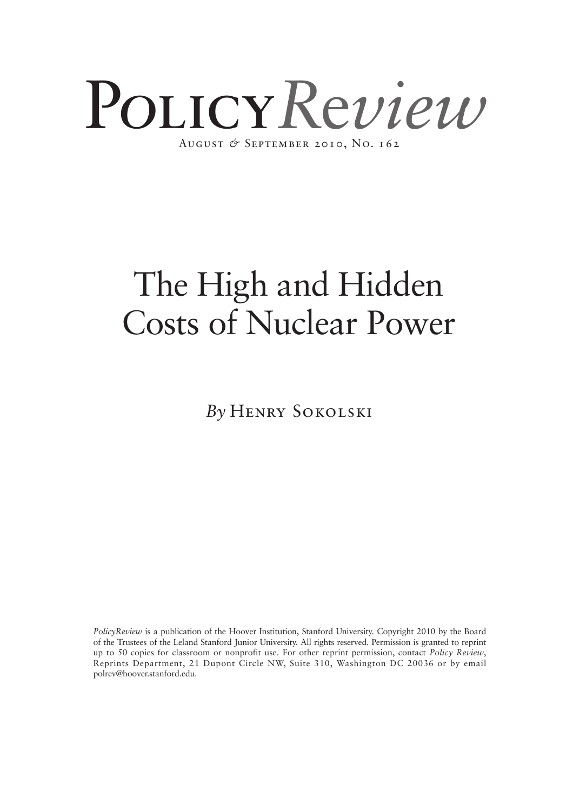

*By* Henry Sokolski

*PolicyReview* is a publication of the Hoover Institution, Stanford University. Copyright 2010 by the Board of the Trustees of the Leland Stanford Junior University. All rights reserved. Permission is granted to reprint up to 50 copies for classroom or nonprofit use. For other reprint permission, contact *Policy Review*, Reprints Department, 21 Dupont Circle NW, Suite 310, Washington DC 20036 or by email polrev@hoover.stanford.edu.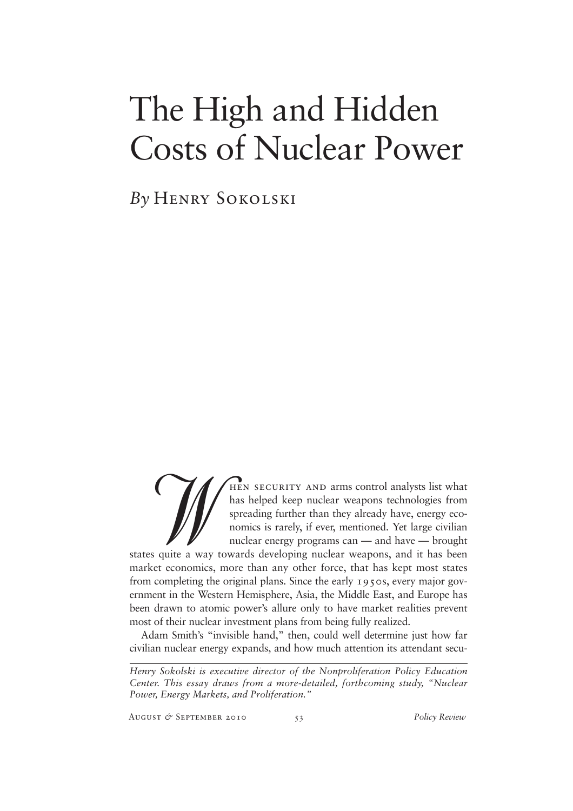*By* Henry Sokolski

W hen security and arms control analysts list what has helped keep nuclear weapons technologies from spreading further than they already have, energy economics is rarely, if ever, mentioned. Yet large civilian nuclear energy programs can — and have — brought states quite a way towards developing nuclear weapons, and it has been market economics, more than any other force, that has kept most states from completing the original plans. Since the early 1950s, every major government in the Western Hemisphere, Asia, the Middle East, and Europe has been drawn to atomic power's allure only to have market realities prevent most of their nuclear investment plans from being fully realized.

Adam Smith's "invisible hand," then, could well determine just how far civilian nuclear energy expands, and how much attention its attendant secu-

August *&* September 2010 53 *Policy Review*

*Henry Sokolski is executive director of the Nonproliferation Policy Education Center. This essay draws from a more-detailed, forthcoming study, "Nuclear Power, Energy Markets, and Proliferation."*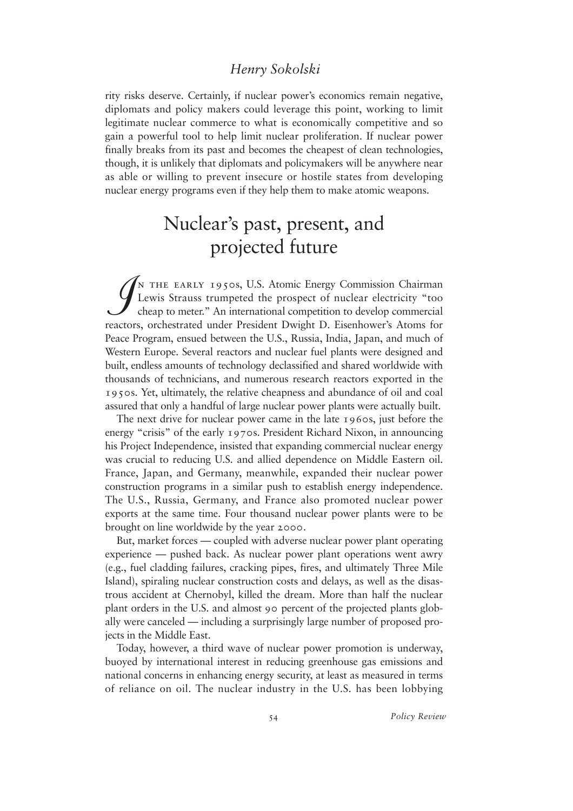rity risks deserve. Certainly, if nuclear power's economics remain negative, diplomats and policy makers could leverage this point, working to limit legitimate nuclear commerce to what is economically competitive and so gain a powerful tool to help limit nuclear proliferation. If nuclear power finally breaks from its past and becomes the cheapest of clean technologies, though, it is unlikely that diplomats and policymakers will be anywhere near as able or willing to prevent insecure or hostile states from developing nuclear energy programs even if they help them to make atomic weapons.

## Nuclear's past, present, and projected future

 $\int$ n the early 1950s, U.S. Atomic Energy Commission Chairman Lewis Strauss trumpeted the prospect of nuclear electricity "too cheap to meter." An international competition to develop commercial reactors, orchestrated under President Dwight D. Eisenhower's Atoms for Peace Program, ensued between the U.S., Russia, India, Japan, and much of Western Europe. Several reactors and nuclear fuel plants were designed and built, endless amounts of technology declassified and shared worldwide with thousands of technicians, and numerous research reactors exported in the 1950s. Yet, ultimately, the relative cheapness and abundance of oil and coal assured that only a handful of large nuclear power plants were actually built.

The next drive for nuclear power came in the late 1960s, just before the energy "crisis" of the early 1970s. President Richard Nixon, in announcing his Project Independence, insisted that expanding commercial nuclear energy was crucial to reducing U.S. and allied dependence on Middle Eastern oil. France, Japan, and Germany, meanwhile, expanded their nuclear power construction programs in a similar push to establish energy independence. The U.S., Russia, Germany, and France also promoted nuclear power exports at the same time. Four thousand nuclear power plants were to be brought on line worldwide by the year 2000.

But, market forces — coupled with adverse nuclear power plant operating experience — pushed back. As nuclear power plant operations went awry (e.g., fuel cladding failures, cracking pipes, fires, and ultimately Three Mile Island), spiraling nuclear construction costs and delays, as well as the disastrous accident at Chernobyl, killed the dream. More than half the nuclear plant orders in the U.S. and almost 90 percent of the projected plants globally were canceled — including a surprisingly large number of proposed projects in the Middle East.

Today, however, a third wave of nuclear power promotion is underway, buoyed by international interest in reducing greenhouse gas emissions and national concerns in enhancing energy security, at least as measured in terms of reliance on oil. The nuclear industry in the U.S. has been lobbying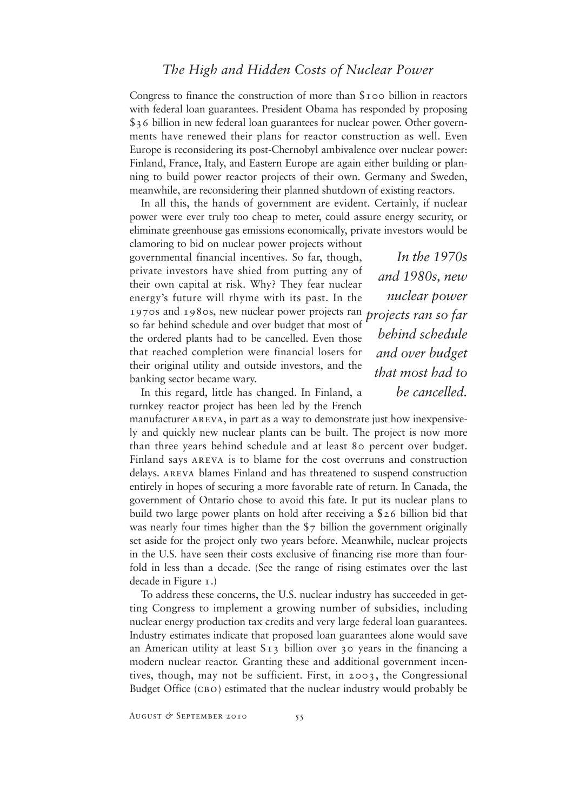Congress to finance the construction of more than \$100 billion in reactors with federal loan guarantees. President Obama has responded by proposing \$36 billion in new federal loan guarantees for nuclear power. Other governments have renewed their plans for reactor construction as well. Even Europe is reconsidering its post-Chernobyl ambivalence over nuclear power: Finland, France, Italy, and Eastern Europe are again either building or planning to build power reactor projects of their own. Germany and Sweden, meanwhile, are reconsidering their planned shutdown of existing reactors.

In all this, the hands of government are evident. Certainly, if nuclear power were ever truly too cheap to meter, could assure energy security, or eliminate greenhouse gas emissions economically, private investors would be

clamoring to bid on nuclear power projects without governmental financial incentives. So far, though, private investors have shied from putting any of their own capital at risk. Why? They fear nuclear energy's future will rhyme with its past. In the 1970s and 1980s, new nuclear power projects ran *projects ran so far* so far behind schedule and over budget that most of the ordered plants had to be cancelled. Even those that reached completion were financial losers for their original utility and outside investors, and the banking sector became wary.

*In the 1970s and 1980s, new nuclear power behind schedule and over budget that most had to be cancelled.*

In this regard, little has changed. In Finland, a turnkey reactor project has been led by the French

manufacturer areva, in part as a way to demonstrate just how inexpensively and quickly new nuclear plants can be built. The project is now more than three years behind schedule and at least 80 percent over budget. Finland says areva is to blame for the cost overruns and construction delays. areva blames Finland and has threatened to suspend construction entirely in hopes of securing a more favorable rate of return. In Canada, the government of Ontario chose to avoid this fate. It put its nuclear plans to build two large power plants on hold after receiving a \$26 billion bid that was nearly four times higher than the \$7 billion the government originally set aside for the project only two years before. Meanwhile, nuclear projects in the U.S. have seen their costs exclusive of financing rise more than fourfold in less than a decade. (See the range of rising estimates over the last decade in Figure 1.)

To address these concerns, the U.S. nuclear industry has succeeded in getting Congress to implement a growing number of subsidies, including nuclear energy production tax credits and very large federal loan guarantees. Industry estimates indicate that proposed loan guarantees alone would save an American utility at least \$13 billion over 30 years in the financing a modern nuclear reactor. Granting these and additional government incentives, though, may not be sufficient. First, in 2003, the Congressional Budget Office (сво) estimated that the nuclear industry would probably be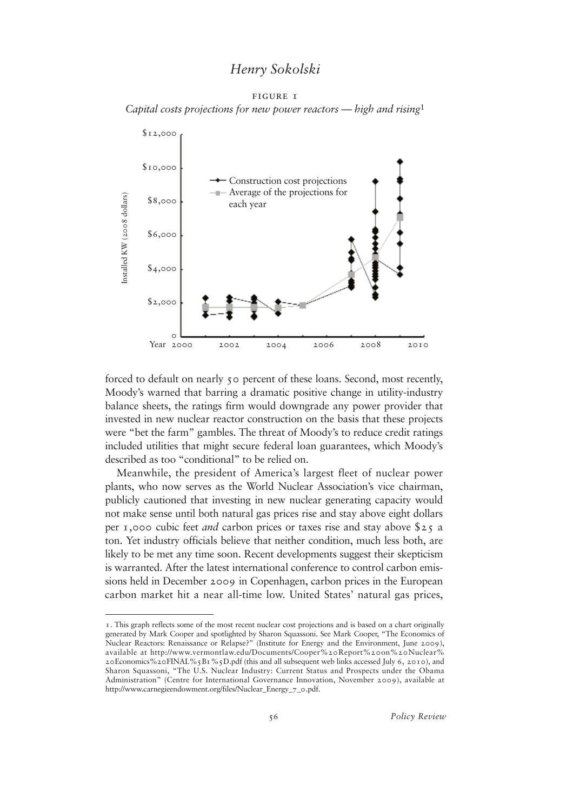FIGURE <sub>1</sub> *Capital costs projections for new power reactors — high and rising*<sup>1</sup>



forced to default on nearly 50 percent of these loans. Second, most recently, Moody's warned that barring a dramatic positive change in utility-industry balance sheets, the ratings firm would downgrade any power provider that invested in new nuclear reactor construction on the basis that these projects were "bet the farm" gambles. The threat of Moody's to reduce credit ratings included utilities that might secure federal loan guarantees, which Moody's described as too "conditional" to be relied on.

Meanwhile, the president of America's largest fleet of nuclear power plants, who now serves as the World Nuclear Association's vice chairman, publicly cautioned that investing in new nuclear generating capacity would not make sense until both natural gas prices rise and stay above eight dollars per 1,000 cubic feet *and* carbon prices or taxes rise and stay above \$25 a ton. Yet industry officials believe that neither condition, much less both, are likely to be met any time soon. Recent developments suggest their skepticism is warranted. After the latest international conference to control carbon emissions held in December 2009 in Copenhagen, carbon prices in the European carbon market hit a near all-time low. United States' natural gas prices,

<sup>1</sup>. This graph reflects some of the most recent nuclear cost projections and is based on a chart originally generated by Mark Cooper and spotlighted by Sharon Squassoni. See Mark Cooper, "The Economics of Nuclear Reactors: Renaissance or Relapse?" (Institute for Energy and the Environment, June 2009), available at http://www.vermontlaw.edu/Documents/Cooper%20Report%20on%20Nuclear% 20Economics%20FINAL%5B1%5D.pdf (this and all subsequent web links accessed July 6, 2010), and Sharon Squassoni, "The U.S. Nuclear Industry: Current Status and Prospects under the Obama Administration" (Centre for International Governance Innovation, November 2009), available at http://www.carnegieendowment.org/files/Nuclear\_Energy\_7\_0.pdf.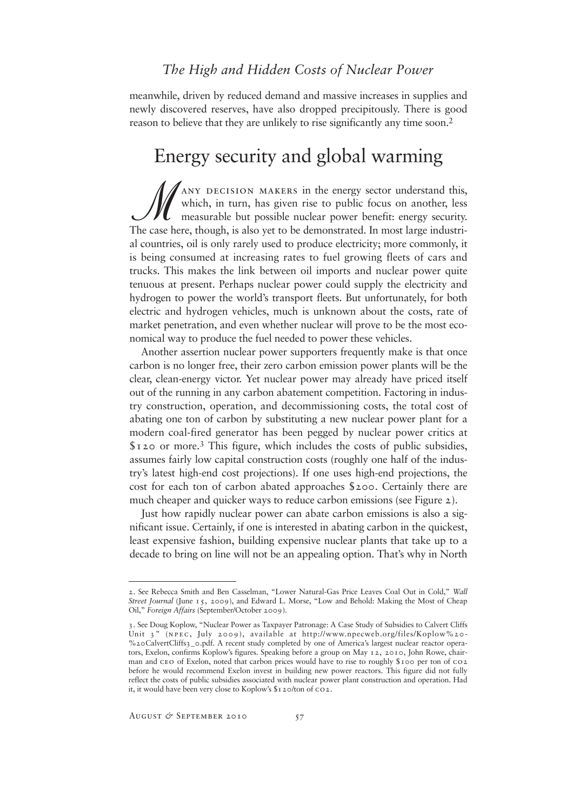meanwhile, driven by reduced demand and massive increases in supplies and newly discovered reserves, have also dropped precipitously. There is good reason to believe that they are unlikely to rise significantly any time soon.<sup>2</sup>

## Energy security and global warming

 $\mathscr{M}$ any decision makers in the energy sector understand this, which, in turn, has given rise to public focus on another, less measurable but possible nuclear power benefit: energy security. The case here, though, is also yet to be demonstrated. In most large industrial countries, oil is only rarely used to produce electricity; more commonly, it is being consumed at increasing rates to fuel growing fleets of cars and trucks. This makes the link between oil imports and nuclear power quite tenuous at present. Perhaps nuclear power could supply the electricity and hydrogen to power the world's transport fleets. But unfortunately, for both electric and hydrogen vehicles, much is unknown about the costs, rate of market penetration, and even whether nuclear will prove to be the most economical way to produce the fuel needed to power these vehicles.

Another assertion nuclear power supporters frequently make is that once carbon is no longer free, their zero carbon emission power plants will be the clear, clean-energy victor. Yet nuclear power may already have priced itself out of the running in any carbon abatement competition. Factoring in industry construction, operation, and decommissioning costs, the total cost of abating one ton of carbon by substituting a new nuclear power plant for a modern coal-fired generator has been pegged by nuclear power critics at  $$120$  or more.<sup>3</sup> This figure, which includes the costs of public subsidies, assumes fairly low capital construction costs (roughly one half of the industry's latest high-end cost projections). If one uses high-end projections, the cost for each ton of carbon abated approaches \$200. Certainly there are much cheaper and quicker ways to reduce carbon emissions (see Figure 2).

Just how rapidly nuclear power can abate carbon emissions is also a significant issue. Certainly, if one is interested in abating carbon in the quickest, least expensive fashion, building expensive nuclear plants that take up to a decade to bring on line will not be an appealing option. That's why in North

<sup>2</sup>. See Rebecca Smith and Ben Casselman, "Lower Natural-Gas Price Leaves Coal Out in Cold," *Wall Street Journal* (June 15, 2009), and Edward L. Morse, "Low and Behold: Making the Most of Cheap Oil," *Foreign Affairs* (September/October 2009).

<sup>3</sup>. See Doug Koplow, "Nuclear Power as Taxpayer Patronage: A Case Study of Subsidies to Calvert Cliffs Unit 3" (NPEC, July 2009), available at http://www.npecweb.org/files/Koplow%20-%20CalvertCliffs3\_0.pdf. A recent study completed by one of America's largest nuclear reactor operators, Exelon, confirms Koplow's figures. Speaking before a group on May 12, 2010, John Rowe, chairman and ceo of Exelon, noted that carbon prices would have to rise to roughly \$100 per ton of co2 before he would recommend Exelon invest in building new power reactors. This figure did not fully reflect the costs of public subsidies associated with nuclear power plant construction and operation. Had it, it would have been very close to Koplow's \$120/ton of co2.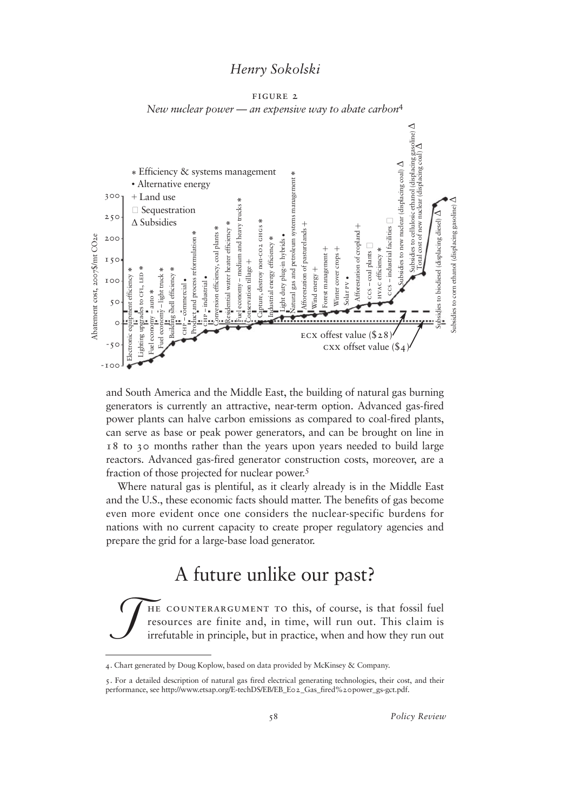figure 2 *New nuclear power — an expensive way to abate carbon*<sup>4</sup>



and South America and the Middle East, the building of natural gas burning generators is currently an attractive, near-term option. Advanced gas-fired power plants can halve carbon emissions as compared to coal-fired plants, can serve as base or peak power generators, and can be brought on line in 18 to 30 months rather than the years upon years needed to build large reactors. Advanced gas-fired generator construction costs, moreover, are a fraction of those projected for nuclear power.<sup>5</sup>

Where natural gas is plentiful, as it clearly already is in the Middle East and the U.S., these economic facts should matter. The benefits of gas become even more evident once one considers the nuclear-specific burdens for nations with no current capacity to create proper regulatory agencies and prepare the grid for a large-base load generator.

## A future unlike our past?

 $\int$ he counterargument to this, of course, is that fossil fuel resources are finite and, in time, will run out. This claim is irrefutable in principle, but in practice, when and how they run out

<sup>4</sup>. Chart generated by Doug Koplow, based on data provided by McKinsey & Company. .

<sup>5</sup>. For a detailed description of natural gas fired electrical generating technologies, their cost, and their performance, see http://www.etsap.org/E-techDS/EB/EB\_E02\_Gas\_fired%20power\_gs-gct.pdf.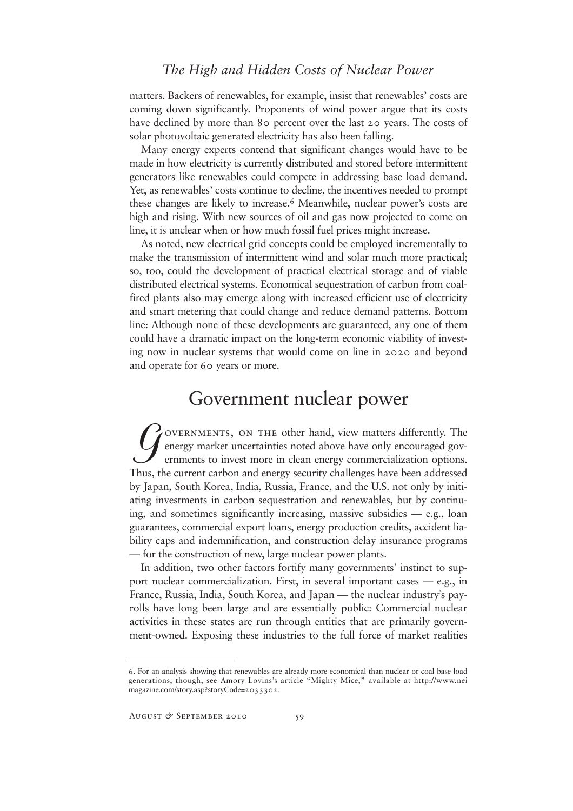matters. Backers of renewables, for example, insist that renewables' costs are coming down significantly. Proponents of wind power argue that its costs have declined by more than 80 percent over the last 20 years. The costs of solar photovoltaic generated electricity has also been falling.

Many energy experts contend that significant changes would have to be made in how electricity is currently distributed and stored before intermittent generators like renewables could compete in addressing base load demand. Yet, as renewables' costs continue to decline, the incentives needed to prompt these changes are likely to increase.<sup>6</sup> Meanwhile, nuclear power's costs are high and rising. With new sources of oil and gas now projected to come on line, it is unclear when or how much fossil fuel prices might increase.

As noted, new electrical grid concepts could be employed incrementally to make the transmission of intermittent wind and solar much more practical; so, too, could the development of practical electrical storage and of viable distributed electrical systems. Economical sequestration of carbon from coalfired plants also may emerge along with increased efficient use of electricity and smart metering that could change and reduce demand patterns. Bottom line: Although none of these developments are guaranteed, any one of them could have a dramatic impact on the long-term economic viability of investing now in nuclear systems that would come on line in 2020 and beyond and operate for 60 years or more.

## Government nuclear power

 $\int$ overnments, on the other hand, view matters differently. The energy market uncertainties noted above have only encouraged governments to invest more in clean energy commercialization options. Thus, the current carbon and energy security challenges have been addressed by Japan, South Korea, India, Russia, France, and the U.S. not only by initiating investments in carbon sequestration and renewables, but by continuing, and sometimes significantly increasing, massive subsidies — e.g., loan guarantees, commercial export loans, energy production credits, accident liability caps and indemnification, and construction delay insurance programs — for the construction of new, large nuclear power plants.

In addition, two other factors fortify many governments' instinct to support nuclear commercialization. First, in several important cases — e.g., in France, Russia, India, South Korea, and Japan — the nuclear industry's payrolls have long been large and are essentially public: Commercial nuclear activities in these states are run through entities that are primarily government-owned. Exposing these industries to the full force of market realities

<sup>6</sup>. For an analysis showing that renewables are already more economical than nuclear or coal base load generations, though, see Amory Lovins's article "Mighty Mice," available at http://www.nei magazine.com/story.asp?storyCode=2033302.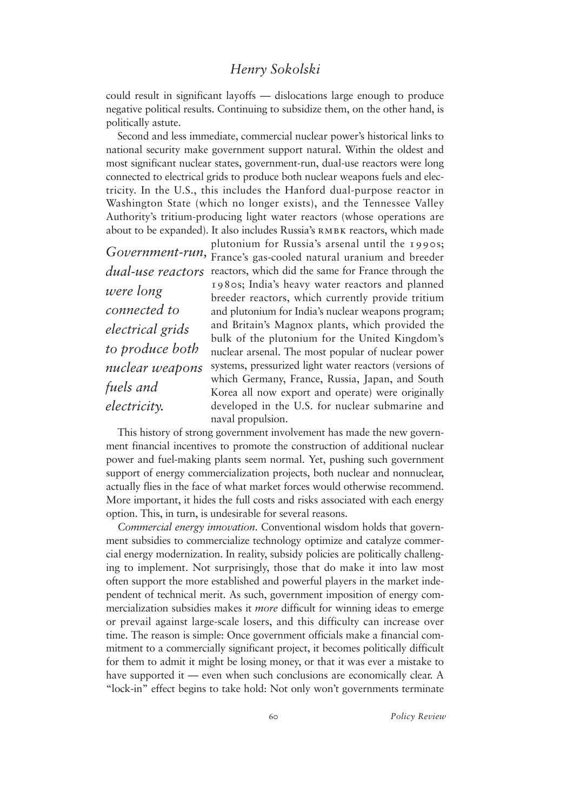could result in significant layoffs — dislocations large enough to produce negative political results. Continuing to subsidize them, on the other hand, is politically astute.

Second and less immediate, commercial nuclear power's historical links to national security make government support natural. Within the oldest and most significant nuclear states, government-run, dual-use reactors were long connected to electrical grids to produce both nuclear weapons fuels and electricity. In the U.S., this includes the Hanford dual-purpose reactor in Washington State (which no longer exists), and the Tennessee Valley Authority's tritium-producing light water reactors (whose operations are about to be expanded). It also includes Russia's RMBK reactors, which made

*were long connected to electrical grids to produce both nuclear weapons fuels and electricity.* 

plutonium for Russia's arsenal until the 1990s; Government-run, France's gas-cooled natural uranium and breeder dual-use reactors reactors, which did the same for France through the 1980s; India's heavy water reactors and planned breeder reactors, which currently provide tritium and plutonium for India's nuclear weapons program; and Britain's Magnox plants, which provided the bulk of the plutonium for the United Kingdom's nuclear arsenal. The most popular of nuclear power systems, pressurized light water reactors (versions of which Germany, France, Russia, Japan, and South Korea all now export and operate) were originally developed in the U.S. for nuclear submarine and naval propulsion.

This history of strong government involvement has made the new government financial incentives to promote the construction of additional nuclear power and fuel-making plants seem normal. Yet, pushing such government support of energy commercialization projects, both nuclear and nonnuclear, actually flies in the face of what market forces would otherwise recommend. More important, it hides the full costs and risks associated with each energy option. This, in turn, is undesirable for several reasons.

*Commercial energy innovation*. Conventional wisdom holds that government subsidies to commercialize technology optimize and catalyze commercial energy modernization. In reality, subsidy policies are politically challenging to implement. Not surprisingly, those that do make it into law most often support the more established and powerful players in the market independent of technical merit. As such, government imposition of energy commercialization subsidies makes it *more* difficult for winning ideas to emerge or prevail against large-scale losers, and this difficulty can increase over time. The reason is simple: Once government officials make a financial commitment to a commercially significant project, it becomes politically difficult for them to admit it might be losing money, or that it was ever a mistake to have supported it — even when such conclusions are economically clear. A "lock-in" effect begins to take hold: Not only won't governments terminate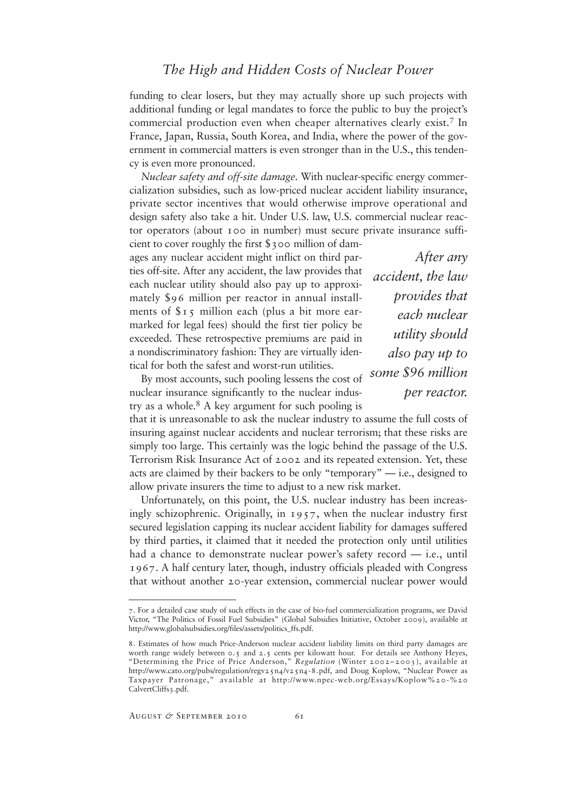funding to clear losers, but they may actually shore up such projects with additional funding or legal mandates to force the public to buy the project's commercial production even when cheaper alternatives clearly exist.<sup>7</sup> In France, Japan, Russia, South Korea, and India, where the power of the government in commercial matters is even stronger than in the U.S., this tendency is even more pronounced.

*Nuclear safety and off-site damage*. With nuclear-specific energy commercialization subsidies, such as low-priced nuclear accident liability insurance, private sector incentives that would otherwise improve operational and design safety also take a hit. Under U.S. law, U.S. commercial nuclear reactor operators (about 100 in number) must secure private insurance suffi-

cient to cover roughly the first \$300 million of damages any nuclear accident might inflict on third parties off-site. After any accident, the law provides that each nuclear utility should also pay up to approximately \$96 million per reactor in annual installments of  $s<sub>15</sub>$  million each (plus a bit more earmarked for legal fees) should the first tier policy be exceeded. These retrospective premiums are paid in a nondiscriminatory fashion: They are virtually identical for both the safest and worst-run utilities.

By most accounts, such pooling lessens the cost of nuclear insurance significantly to the nuclear industry as a whole. $8 \text{ A}$  key argument for such pooling is

*After any accident, the law provides that each nuclear utility should also pay up to some \$96 million per reactor.* 

that it is unreasonable to ask the nuclear industry to assume the full costs of insuring against nuclear accidents and nuclear terrorism; that these risks are simply too large. This certainly was the logic behind the passage of the U.S. Terrorism Risk Insurance Act of 2002 and its repeated extension. Yet, these acts are claimed by their backers to be only "temporary" — i.e., designed to allow private insurers the time to adjust to a new risk market.

Unfortunately, on this point, the U.S. nuclear industry has been increasingly schizophrenic. Originally, in 1957, when the nuclear industry first secured legislation capping its nuclear accident liability for damages suffered by third parties, it claimed that it needed the protection only until utilities had a chance to demonstrate nuclear power's safety record — i.e., until 1967. A half century later, though, industry officials pleaded with Congress that without another 20-year extension, commercial nuclear power would

<sup>7</sup>. For a detailed case study of such effects in the case of bio-fuel commercialization programs, see David Victor, "The Politics of Fossil Fuel Subsidies" (Global Subsidies Initiative, October 2009), available at http://www.globalsubsidies.org/files/assets/politics\_ffs.pdf.

<sup>8</sup>. Estimates of how much Price-Anderson nuclear accident liability limits on third party damages are worth range widely between 0.5 and 2.5 cents per kilowatt hour. For details see Anthony Heyes, "Determining the Price of Price Anderson," *Regulation* (Winter 2002–2003), available at http://www.cato.org/pubs/regulation/regv25n4/v25n4-8.pdf, and Doug Koplow, "Nuclear Power as Taxpayer Patronage," available at http://www.npec-web.org/Essays/Koplow%20-%20 CalvertCliffs3.pdf.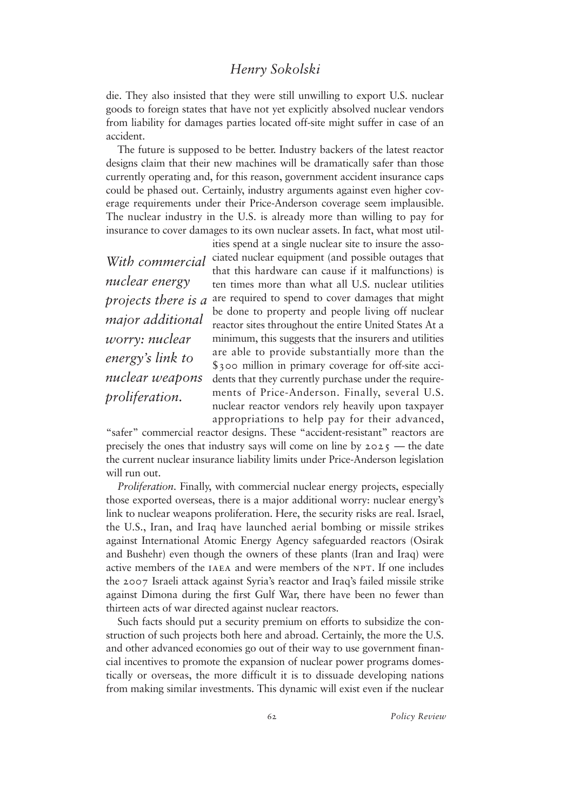die. They also insisted that they were still unwilling to export U.S. nuclear goods to foreign states that have not yet explicitly absolved nuclear vendors from liability for damages parties located off-site might suffer in case of an accident.

The future is supposed to be better. Industry backers of the latest reactor designs claim that their new machines will be dramatically safer than those currently operating and, for this reason, government accident insurance caps could be phased out. Certainly, industry arguments against even higher coverage requirements under their Price-Anderson coverage seem implausible. The nuclear industry in the U.S. is already more than willing to pay for insurance to cover damages to its own nuclear assets. In fact, what most util-

*With commercial nuclear energy projects there is a major additional worry: nuclear energy's link to nuclear weapons proliferation.*

ities spend at a single nuclear site to insure the associated nuclear equipment (and possible outages that that this hardware can cause if it malfunctions) is ten times more than what all U.S. nuclear utilities are required to spend to cover damages that might be done to property and people living off nuclear reactor sites throughout the entire United States At a minimum, this suggests that the insurers and utilities are able to provide substantially more than the \$300 million in primary coverage for off-site accidents that they currently purchase under the requirements of Price-Anderson. Finally, several U.S. nuclear reactor vendors rely heavily upon taxpayer appropriations to help pay for their advanced,

"safer" commercial reactor designs. These "accident-resistant" reactors are precisely the ones that industry says will come on line by  $2025$  — the date the current nuclear insurance liability limits under Price-Anderson legislation will run out.

*Proliferation*. Finally, with commercial nuclear energy projects, especially those exported overseas, there is a major additional worry: nuclear energy's link to nuclear weapons proliferation. Here, the security risks are real. Israel, the U.S., Iran, and Iraq have launched aerial bombing or missile strikes against International Atomic Energy Agency safeguarded reactors (Osirak and Bushehr) even though the owners of these plants (Iran and Iraq) were active members of the IAEA and were members of the NPT. If one includes the 2007 Israeli attack against Syria's reactor and Iraq's failed missile strike against Dimona during the first Gulf War, there have been no fewer than thirteen acts of war directed against nuclear reactors.

Such facts should put a security premium on efforts to subsidize the construction of such projects both here and abroad. Certainly, the more the U.S. and other advanced economies go out of their way to use government financial incentives to promote the expansion of nuclear power programs domestically or overseas, the more difficult it is to dissuade developing nations from making similar investments. This dynamic will exist even if the nuclear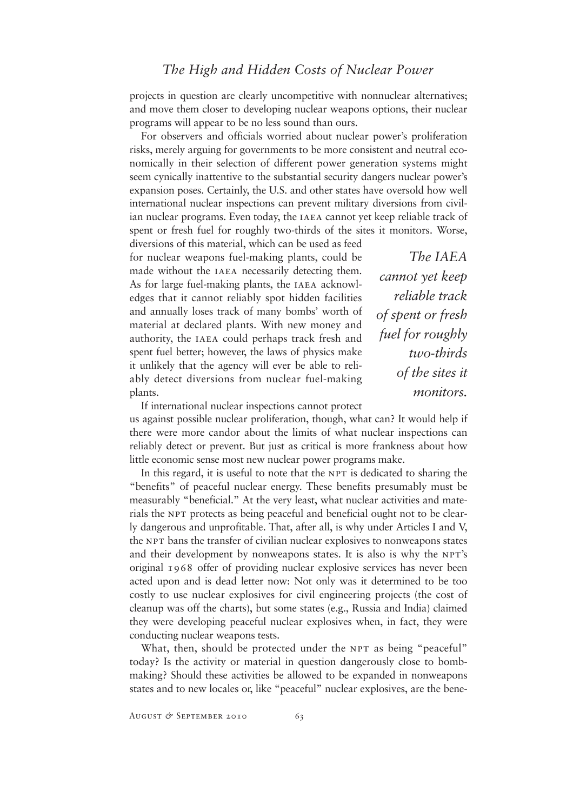projects in question are clearly uncompetitive with nonnuclear alternatives; and move them closer to developing nuclear weapons options, their nuclear programs will appear to be no less sound than ours.

For observers and officials worried about nuclear power's proliferation risks, merely arguing for governments to be more consistent and neutral economically in their selection of different power generation systems might seem cynically inattentive to the substantial security dangers nuclear power's expansion poses. Certainly, the U.S. and other states have oversold how well international nuclear inspections can prevent military diversions from civilian nuclear programs. Even today, the IAEA cannot yet keep reliable track of spent or fresh fuel for roughly two-thirds of the sites it monitors. Worse,

diversions of this material, which can be used as feed for nuclear weapons fuel-making plants, could be made without the IAEA necessarily detecting them. As for large fuel-making plants, the IAEA acknowledges that it cannot reliably spot hidden facilities and annually loses track of many bombs' worth of material at declared plants. With new money and authority, the iaea could perhaps track fresh and spent fuel better; however, the laws of physics make it unlikely that the agency will ever be able to reliably detect diversions from nuclear fuel-making plants.

*The IAEA cannot yet keep reliable track of spent or fresh fuel for roughly two-thirds of the sites it monitors.*

If international nuclear inspections cannot protect

us against possible nuclear proliferation, though, what can? It would help if there were more candor about the limits of what nuclear inspections can reliably detect or prevent. But just as critical is more frankness about how little economic sense most new nuclear power programs make.

In this regard, it is useful to note that the NPT is dedicated to sharing the "benefits" of peaceful nuclear energy. These benefits presumably must be measurably "beneficial." At the very least, what nuclear activities and materials the NPT protects as being peaceful and beneficial ought not to be clearly dangerous and unprofitable. That, after all, is why under Articles I and V, the NPT bans the transfer of civilian nuclear explosives to nonweapons states and their development by nonweapons states. It is also is why the NPT's original 1968 offer of providing nuclear explosive services has never been acted upon and is dead letter now: Not only was it determined to be too costly to use nuclear explosives for civil engineering projects (the cost of cleanup was off the charts), but some states (e.g., Russia and India) claimed they were developing peaceful nuclear explosives when, in fact, they were conducting nuclear weapons tests.

What, then, should be protected under the NPT as being "peaceful" today? Is the activity or material in question dangerously close to bombmaking? Should these activities be allowed to be expanded in nonweapons states and to new locales or, like "peaceful" nuclear explosives, are the bene-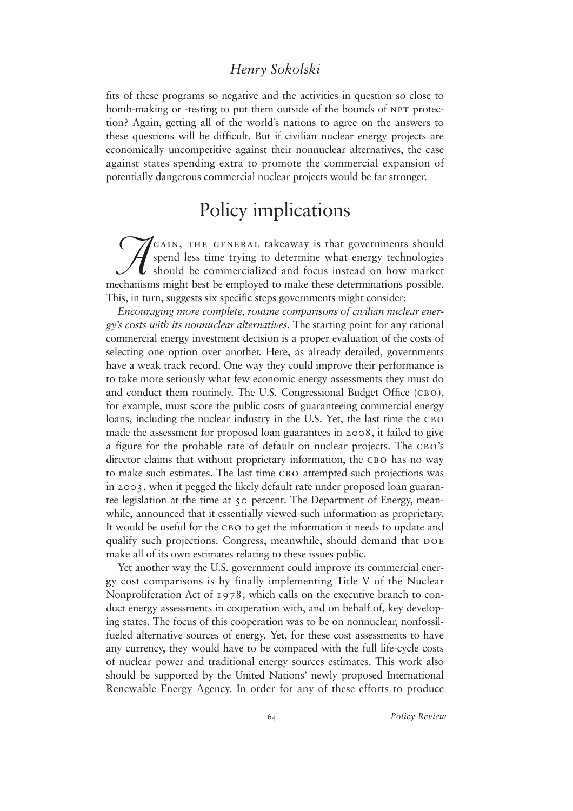fits of these programs so negative and the activities in question so close to bomb-making or -testing to put them outside of the bounds of NPT protection? Again, getting all of the world's nations to agree on the answers to these questions will be difficult. But if civilian nuclear energy projects are economically uncompetitive against their nonnuclear alternatives, the case against states spending extra to promote the commercial expansion of potentially dangerous commercial nuclear projects would be far stronger.

### Policy implications

 $\widetilde{\mathcal{A}}$ GAIN, THE GENERAL takeaway is that governments should spend less time trying to determine what energy technologies should be commercialized and focus instead on how market mechanisms might best be employed to make these determinations possible. This, in turn, suggests six specific steps governments might consider:

*Encouraging more complete, routine comparisons of civilian nuclear energy's costs with its nonnuclear alternatives.* The starting point for any rational commercial energy investment decision is a proper evaluation of the costs of selecting one option over another. Here, as already detailed, governments have a weak track record. One way they could improve their performance is to take more seriously what few economic energy assessments they must do and conduct them routinely. The U.S. Congressional Budget Office (CBO), for example, must score the public costs of guaranteeing commercial energy loans, including the nuclear industry in the U.S. Yet, the last time the CBO made the assessment for proposed loan guarantees in 2008, it failed to give a figure for the probable rate of default on nuclear projects. The CBO's director claims that without proprietary information, the CBO has no way to make such estimates. The last time CBO attempted such projections was in 2003, when it pegged the likely default rate under proposed loan guarantee legislation at the time at 50 percent. The Department of Energy, meanwhile, announced that it essentially viewed such information as proprietary. It would be useful for the CBO to get the information it needs to update and qualify such projections. Congress, meanwhile, should demand that DOE make all of its own estimates relating to these issues public.

Yet another way the U.S. government could improve its commercial energy cost comparisons is by finally implementing Title V of the Nuclear Nonproliferation Act of 1978, which calls on the executive branch to conduct energy assessments in cooperation with, and on behalf of, key developing states. The focus of this cooperation was to be on nonnuclear, nonfossilfueled alternative sources of energy. Yet, for these cost assessments to have any currency, they would have to be compared with the full life-cycle costs of nuclear power and traditional energy sources estimates. This work also should be supported by the United Nations' newly proposed International Renewable Energy Agency. In order for any of these efforts to produce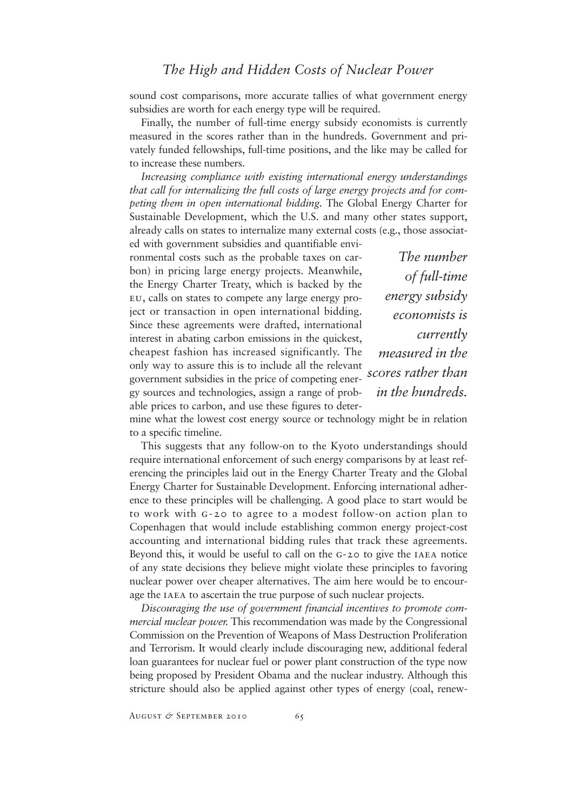sound cost comparisons, more accurate tallies of what government energy subsidies are worth for each energy type will be required.

Finally, the number of full-time energy subsidy economists is currently measured in the scores rather than in the hundreds. Government and privately funded fellowships, full-time positions, and the like may be called for to increase these numbers.

*Increasing compliance with existing international energy understandings that call for internalizing the full costs of large energy projects and for competing them in open international bidding*. The Global Energy Charter for Sustainable Development, which the U.S. and many other states support, already calls on states to internalize many external costs (e.g., those associat-

ed with government subsidies and quantifiable environmental costs such as the probable taxes on carbon) in pricing large energy projects. Meanwhile, the Energy Charter Treaty, which is backed by the eu, calls on states to compete any large energy project or transaction in open international bidding. Since these agreements were drafted, international interest in abating carbon emissions in the quickest, cheapest fashion has increased significantly. The only way to assure this is to include all the relevant government subsidies in the price of competing energy sources and technologies, assign a range of probable prices to carbon, and use these figures to deter-

*The number of full-time energy subsidy economists is currently measured in the scores rather than in the hundreds.*

mine what the lowest cost energy source or technology might be in relation to a specific timeline.

This suggests that any follow-on to the Kyoto understandings should require international enforcement of such energy comparisons by at least referencing the principles laid out in the Energy Charter Treaty and the Global Energy Charter for Sustainable Development. Enforcing international adherence to these principles will be challenging. A good place to start would be to work with g-20 to agree to a modest follow-on action plan to Copenhagen that would include establishing common energy project-cost accounting and international bidding rules that track these agreements. Beyond this, it would be useful to call on the G-20 to give the IAEA notice of any state decisions they believe might violate these principles to favoring nuclear power over cheaper alternatives. The aim here would be to encourage the IAEA to ascertain the true purpose of such nuclear projects.

*Discouraging the use of government financial incentives to promote commercial nuclear power.* This recommendation was made by the Congressional Commission on the Prevention of Weapons of Mass Destruction Proliferation and Terrorism. It would clearly include discouraging new, additional federal loan guarantees for nuclear fuel or power plant construction of the type now being proposed by President Obama and the nuclear industry. Although this stricture should also be applied against other types of energy (coal, renew-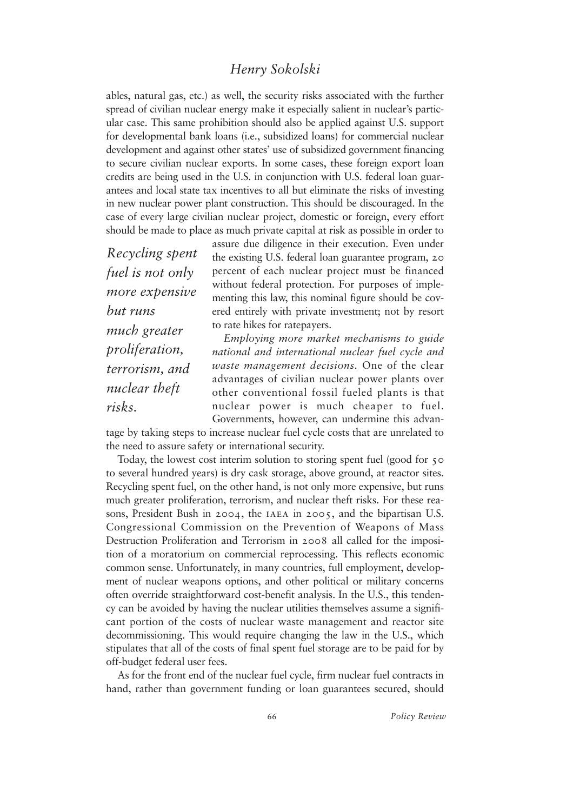ables, natural gas, etc.) as well, the security risks associated with the further spread of civilian nuclear energy make it especially salient in nuclear's particular case. This same prohibition should also be applied against U.S. support for developmental bank loans (i.e., subsidized loans) for commercial nuclear development and against other states' use of subsidized government financing to secure civilian nuclear exports. In some cases, these foreign export loan credits are being used in the U.S. in conjunction with U.S. federal loan guarantees and local state tax incentives to all but eliminate the risks of investing in new nuclear power plant construction. This should be discouraged. In the case of every large civilian nuclear project, domestic or foreign, every effort should be made to place as much private capital at risk as possible in order to

*Recycling spent fuel is not only more expensive but runs much greater proliferation, terrorism, and nuclear theft risks.*

assure due diligence in their execution. Even under the existing U.S. federal loan guarantee program, 20 percent of each nuclear project must be financed without federal protection. For purposes of implementing this law, this nominal figure should be covered entirely with private investment; not by resort to rate hikes for ratepayers.

*Employing more market mechanisms to guide national and international nuclear fuel cycle and waste management decisions.* One of the clear advantages of civilian nuclear power plants over other conventional fossil fueled plants is that nuclear power is much cheaper to fuel. Governments, however, can undermine this advan-

tage by taking steps to increase nuclear fuel cycle costs that are unrelated to the need to assure safety or international security.

Today, the lowest cost interim solution to storing spent fuel (good for 50 to several hundred years) is dry cask storage, above ground, at reactor sites. Recycling spent fuel, on the other hand, is not only more expensive, but runs much greater proliferation, terrorism, and nuclear theft risks. For these reasons, President Bush in 2004, the IAEA in 2005, and the bipartisan U.S. Congressional Commission on the Prevention of Weapons of Mass Destruction Proliferation and Terrorism in 2008 all called for the imposition of a moratorium on commercial reprocessing. This reflects economic common sense. Unfortunately, in many countries, full employment, development of nuclear weapons options, and other political or military concerns often override straightforward cost-benefit analysis. In the U.S., this tendency can be avoided by having the nuclear utilities themselves assume a significant portion of the costs of nuclear waste management and reactor site decommissioning. This would require changing the law in the U.S., which stipulates that all of the costs of final spent fuel storage are to be paid for by off-budget federal user fees.

As for the front end of the nuclear fuel cycle, firm nuclear fuel contracts in hand, rather than government funding or loan guarantees secured, should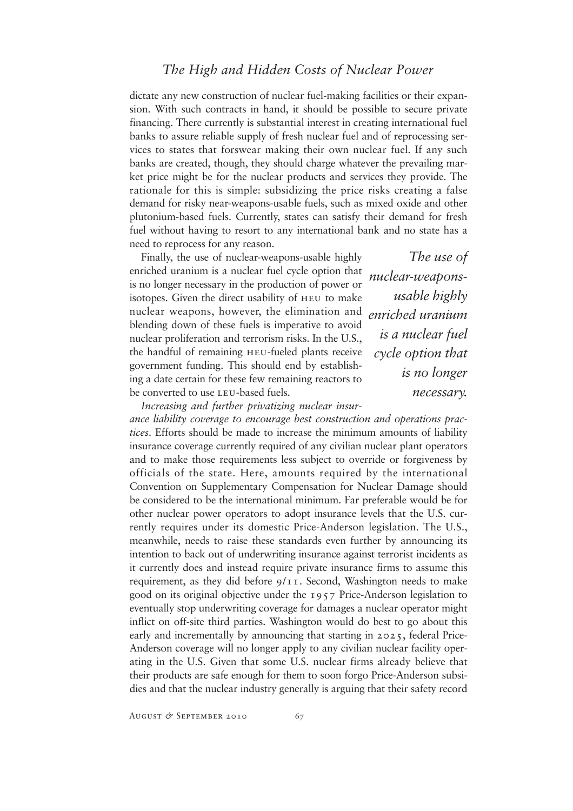dictate any new construction of nuclear fuel-making facilities or their expansion. With such contracts in hand, it should be possible to secure private financing. There currently is substantial interest in creating international fuel banks to assure reliable supply of fresh nuclear fuel and of reprocessing services to states that forswear making their own nuclear fuel. If any such banks are created, though, they should charge whatever the prevailing market price might be for the nuclear products and services they provide. The rationale for this is simple: subsidizing the price risks creating a false demand for risky near-weapons-usable fuels, such as mixed oxide and other plutonium-based fuels. Currently, states can satisfy their demand for fresh fuel without having to resort to any international bank and no state has a need to reprocess for any reason.

Finally, the use of nuclear-weapons-usable highly enriched uranium is a nuclear fuel cycle option that is no longer necessary in the production of power or isotopes. Given the direct usability of heu to make nuclear weapons, however, the elimination and blending down of these fuels is imperative to avoid nuclear proliferation and terrorism risks. In the U.S., the handful of remaining heu-fueled plants receive government funding. This should end by establishing a date certain for these few remaining reactors to be converted to use LEU-based fuels.

*The use of nuclear-weaponsusable highly enriched uranium is a nuclear fuel cycle option that is no longer necessary.*

*Increasing and further privatizing nuclear insur-*

*ance liability coverage to encourage best construction and operations practices*. Efforts should be made to increase the minimum amounts of liability insurance coverage currently required of any civilian nuclear plant operators and to make those requirements less subject to override or forgiveness by officials of the state. Here, amounts required by the international Convention on Supplementary Compensation for Nuclear Damage should be considered to be the international minimum. Far preferable would be for other nuclear power operators to adopt insurance levels that the U.S. currently requires under its domestic Price-Anderson legislation. The U.S., meanwhile, needs to raise these standards even further by announcing its intention to back out of underwriting insurance against terrorist incidents as it currently does and instead require private insurance firms to assume this requirement, as they did before  $9/11$ . Second, Washington needs to make good on its original objective under the 1957 Price-Anderson legislation to eventually stop underwriting coverage for damages a nuclear operator might inflict on off-site third parties. Washington would do best to go about this early and incrementally by announcing that starting in 2025, federal Price-Anderson coverage will no longer apply to any civilian nuclear facility operating in the U.S. Given that some U.S. nuclear firms already believe that their products are safe enough for them to soon forgo Price-Anderson subsidies and that the nuclear industry generally is arguing that their safety record